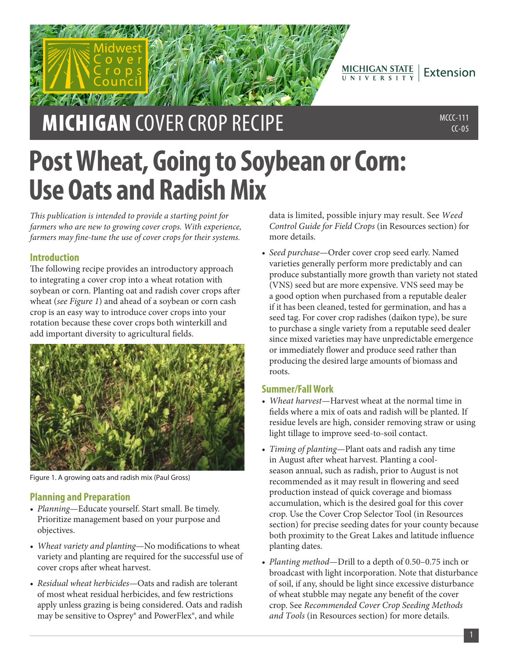$MICHIGAN STATE   
U N IV E R S IT Y$ Extension

# **MICHIGAN** COVER CROP RECIPE MEDIA AND MECC-111

 $CC-05$ 

# **Post Wheat, Going to Soybean or Corn: Use Oats and Radish Mix**

*This publication is intended to provide a starting point for farmers who are new to growing cover crops. With experience, farmers may fine-tune the use of cover crops for their systems.*

# **Introduction**

The following recipe provides an introductory approach to integrating a cover crop into a wheat rotation with soybean or corn. Planting oat and radish cover crops after wheat (*see Figure 1*) and ahead of a soybean or corn cash crop is an easy way to introduce cover crops into your rotation because these cover crops both winterkill and add important diversity to agricultural fields.



Figure 1. A growing oats and radish mix (Paul Gross)

## **Planning and Preparation**

- *Planning*—Educate yourself. Start small. Be timely. Prioritize management based on your purpose and objectives.
- *Wheat variety and planting*—No modifications to wheat variety and planting are required for the successful use of cover crops after wheat harvest.
- *Residual wheat herbicides*—Oats and radish are tolerant of most wheat residual herbicides, and few restrictions apply unless grazing is being considered. Oats and radish may be sensitive to Osprey® and PowerFlex®, and while

data is limited, possible injury may result. See *Weed Control Guide for Field Crops* (in Resources section) for more details.

• *Seed purchase*—Order cover crop seed early. Named varieties generally perform more predictably and can produce substantially more growth than variety not stated (VNS) seed but are more expensive. VNS seed may be a good option when purchased from a reputable dealer if it has been cleaned, tested for germination, and has a seed tag. For cover crop radishes (daikon type), be sure to purchase a single variety from a reputable seed dealer since mixed varieties may have unpredictable emergence or immediately flower and produce seed rather than producing the desired large amounts of biomass and roots.

## **Summer/Fall Work**

- *Wheat harvest*—Harvest wheat at the normal time in fields where a mix of oats and radish will be planted. If residue levels are high, consider removing straw or using light tillage to improve seed-to-soil contact.
- *Timing of planting*—Plant oats and radish any time in August after wheat harvest. Planting a coolseason annual, such as radish, prior to August is not recommended as it may result in flowering and seed production instead of quick coverage and biomass accumulation, which is the desired goal for this cover crop. Use the Cover Crop Selector Tool (in Resources section) for precise seeding dates for your county because both proximity to the Great Lakes and latitude influence planting dates.
- *Planting method*—Drill to a depth of 0.50–0.75 inch or broadcast with light incorporation. Note that disturbance of soil, if any, should be light since excessive disturbance of wheat stubble may negate any benefit of the cover crop. See *Recommended Cover Crop Seeding Methods and Tools* (in Resources section) for more details.